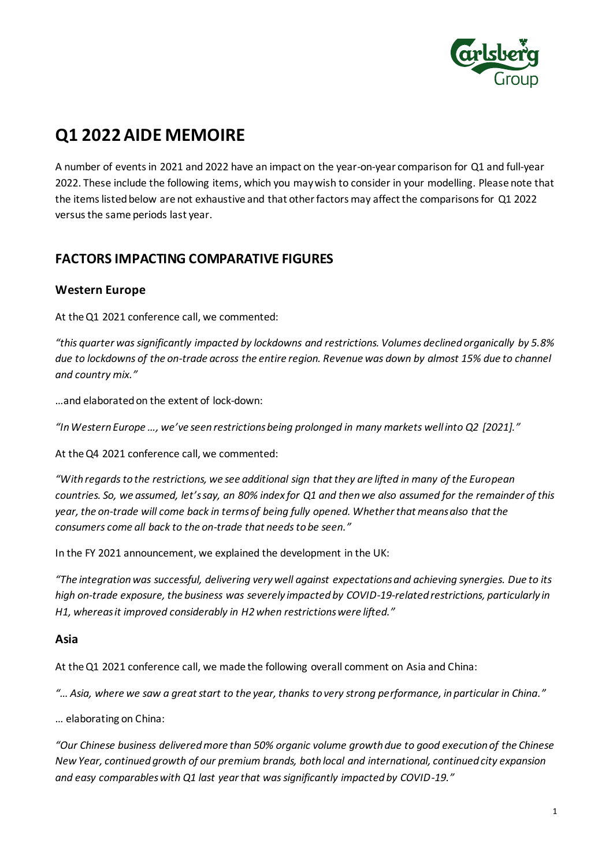

# **Q1 2022AIDE MEMOIRE**

A number of events in 2021 and 2022 have an impact on the year-on-year comparison for Q1 and full-year 2022. These include the following items, which you may wish to consider in your modelling. Please note that the items listed below are not exhaustive and that other factors may affect the comparisons for Q1 2022 versus the same periods last year.

# **FACTORS IMPACTING COMPARATIVE FIGURES**

#### **Western Europe**

At the Q1 2021 conference call, we commented:

*"this quarter was significantly impacted by lockdowns and restrictions. Volumes declined organically by 5.8% due to lockdowns of the on-trade across the entire region. Revenue was down by almost 15% due to channel and country mix."*

…and elaborated on the extent of lock-down:

*"In Western Europe …, we've seen restrictions being prolonged in many markets well into Q2 [2021]."* 

At the Q4 2021 conference call, we commented:

*"With regards to the restrictions, we see additional sign that they are lifted in many of the European countries. So, we assumed, let's say, an 80% index for Q1 and then we also assumed for the remainder of this year, the on-trade will come back in terms of being fully opened. Whether that means also that the consumers come all back to the on-trade that needs to be seen."*

In the FY 2021 announcement, we explained the development in the UK:

*"The integration was successful, delivering very well against expectations and achieving synergies. Due to its high on-trade exposure, the business was severely impacted by COVID-19-related restrictions, particularly in H1, whereas it improved considerably in H2 when restrictions were lifted."*

#### **Asia**

At the Q1 2021 conference call, we made the following overall comment on Asia and China:

*"…Asia, where we saw a great start to the year, thanks to very strong performance, in particular in China."* 

… elaborating on China:

*"Our Chinese business delivered more than 50% organic volume growth due to good execution of the Chinese New Year, continued growth of our premium brands, both local and international, continued city expansion and easy comparables with Q1 last year that was significantly impacted by COVID-19."*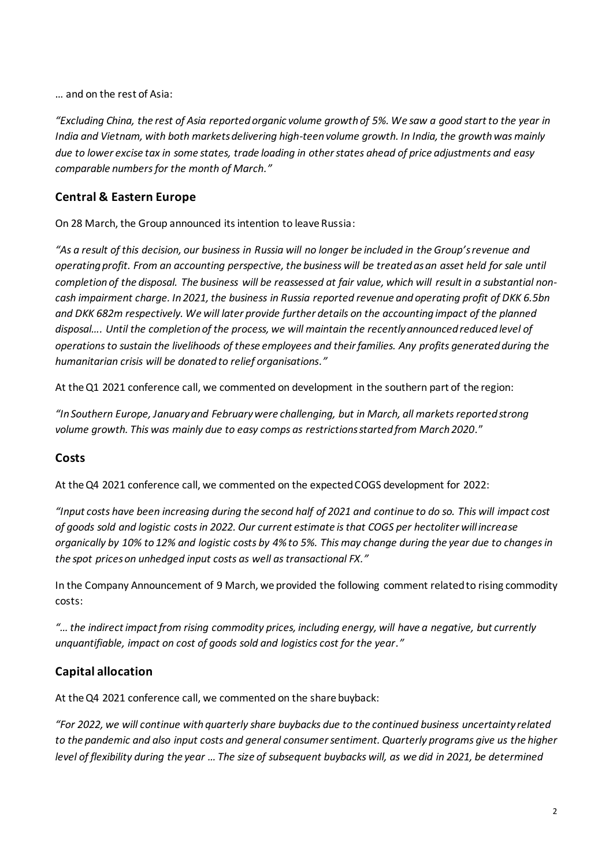… and on the rest of Asia:

*"Excluding China, the rest of Asia reported organic volume growth of 5%. We saw a good start to the year in India and Vietnam, with both markets delivering high-teen volume growth. In India, the growth was mainly due to lower excise tax in some states, trade loading in other states ahead of price adjustments and easy comparable numbers for the month of March."*

### **Central & Eastern Europe**

On 28 March, the Group announced its intention to leave Russia:

*"As a result of this decision, our business in Russia will no longer be included in the Group's revenue and operating profit. From an accounting perspective, the business will be treated as an asset held for sale until*  completion of the disposal. The business will be reassessed at fair value, which will result in a substantial non*cash impairment charge. In 2021, the business in Russia reported revenue and operating profit of DKK 6.5bn and DKK 682m respectively. We will later provide further details on the accounting impact of the planned disposal…. Until the completion of the process, we will maintain the recently announced reduced level of operations to sustain the livelihoods of these employees and their families. Any profits generated during the humanitarian crisis will be donated to relief organisations."*

At the Q1 2021 conference call, we commented on development in the southern part of the region:

*"In Southern Europe, January and February were challenging, but in March, all markets reported strong volume growth. This was mainly due to easy comps as restrictions started from March 2020.*"

#### **Costs**

At the Q4 2021 conference call, we commented on the expected COGS development for 2022:

*"Input costs have been increasing during the second half of 2021 and continue to do so. This will impact cost of goods sold and logistic costs in 2022. Our current estimate is that COGS per hectoliter will increase organically by 10% to 12% and logistic costs by 4% to 5%. This may change during the year due to changes in the spot prices on unhedged input costs as well as transactional FX."*

In the Company Announcement of 9 March, we provided the following comment related to rising commodity costs:

*"… the indirect impact from rising commodity prices, including energy, will have a negative, but currently unquantifiable, impact on cost of goods sold and logistics cost for the year."*

#### **Capital allocation**

At the Q4 2021 conference call, we commented on the share buyback:

*"For 2022, we will continue with quarterly share buybacks due to the continued business uncertainty related to the pandemic and also input costs and general consumer sentiment. Quarterly programs give us the higher level of flexibility during the year …The size of subsequent buybacks will, as we did in 2021, be determined*